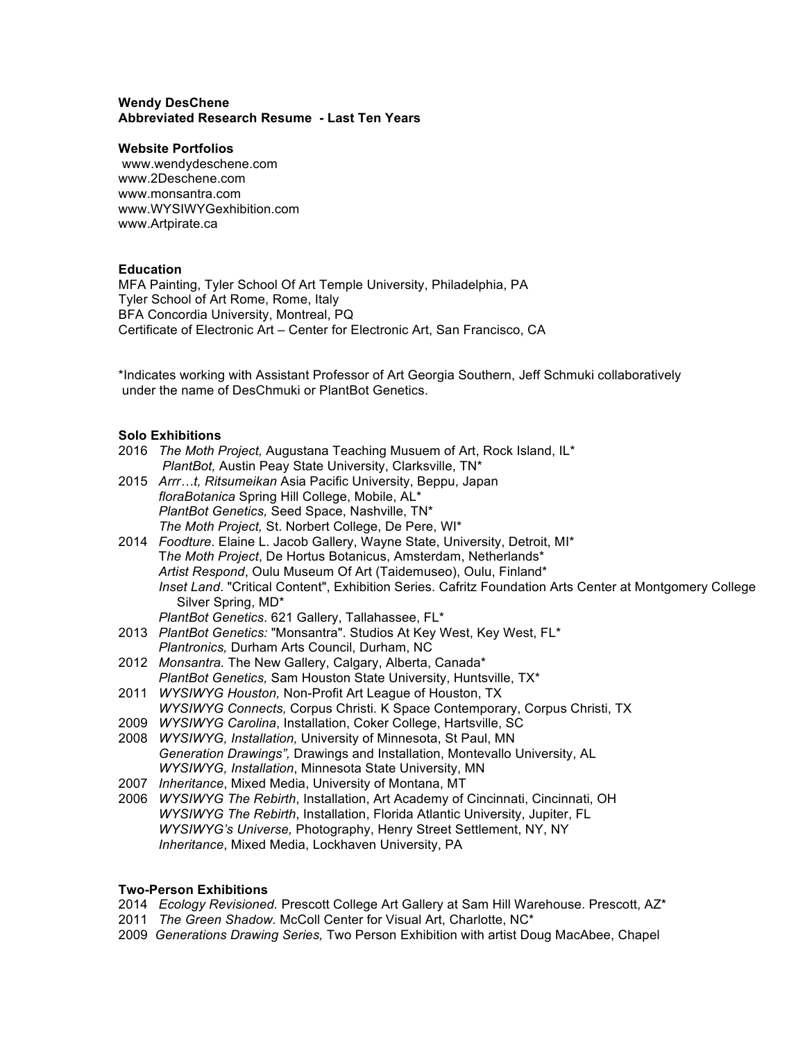### **Wendy DesChene Abbreviated Research Resume - Last Ten Years**

### **Website Portfolios**

www.wendydeschene.com www.2Deschene.com www.monsantra.com www.WYSIWYGexhibition.com www.Artpirate.ca

## **Education**

MFA Painting, Tyler School Of Art Temple University, Philadelphia, PA Tyler School of Art Rome, Rome, Italy BFA Concordia University, Montreal, PQ Certificate of Electronic Art – Center for Electronic Art, San Francisco, CA

\*Indicates working with Assistant Professor of Art Georgia Southern, Jeff Schmuki collaboratively under the name of DesChmuki or PlantBot Genetics.

## **Solo Exhibitions**

- 2016 *The Moth Project,* Augustana Teaching Musuem of Art, Rock Island, IL\* *PlantBot,* Austin Peay State University, Clarksville, TN\*
- 2015 *Arrr…t, Ritsumeikan* Asia Pacific University, Beppu, Japan *floraBotanica* Spring Hill College, Mobile, AL\* *PlantBot Genetics,* Seed Space, Nashville, TN\* *The Moth Project,* St. Norbert College, De Pere, WI\*
- 2014 *Foodture*. Elaine L. Jacob Gallery, Wayne State, University, Detroit, MI\* T*he Moth Project*, De Hortus Botanicus, Amsterdam, Netherlands\* *Artist Respond*, Oulu Museum Of Art (Taidemuseo), Oulu, Finland\* *Inset Land*. "Critical Content", Exhibition Series. Cafritz Foundation Arts Center at Montgomery College Silver Spring, MD\* *PlantBot Genetics*. 621 Gallery, Tallahassee, FL\*
- 2013 *PlantBot Genetics:* "Monsantra". Studios At Key West, Key West, FL\* *Plantronics,* Durham Arts Council, Durham, NC
- 2012 *Monsantra.* The New Gallery, Calgary, Alberta, Canada\* *PlantBot Genetics,* Sam Houston State University, Huntsville, TX\*
- 2011 *WYSIWYG Houston,* Non-Profit Art League of Houston, TX *WYSIWYG Connects,* Corpus Christi. K Space Contemporary, Corpus Christi, TX
- 2009 *WYSIWYG Carolina*, Installation, Coker College, Hartsville, SC
- 2008 *WYSIWYG, Installation,* University of Minnesota, St Paul, MN *Generation Drawings",* Drawings and Installation, Montevallo University, AL *WYSIWYG, Installation*, Minnesota State University, MN
- 2007 *Inheritance*, Mixed Media, University of Montana, MT
- 2006 *WYSIWYG The Rebirth*, Installation, Art Academy of Cincinnati, Cincinnati, OH *WYSIWYG The Rebirth*, Installation, Florida Atlantic University, Jupiter, FL *WYSIWYG's Universe,* Photography, Henry Street Settlement, NY, NY *Inheritance*, Mixed Media, Lockhaven University, PA

## **Two-Person Exhibitions**

- 2014 *Ecology Revisioned.* Prescott College Art Gallery at Sam Hill Warehouse. Prescott, AZ\*
- 2011 *The Green Shadow.* McColl Center for Visual Art, Charlotte, NC\*
- 2009 *Generations Drawing Series,* Two Person Exhibition with artist Doug MacAbee, Chapel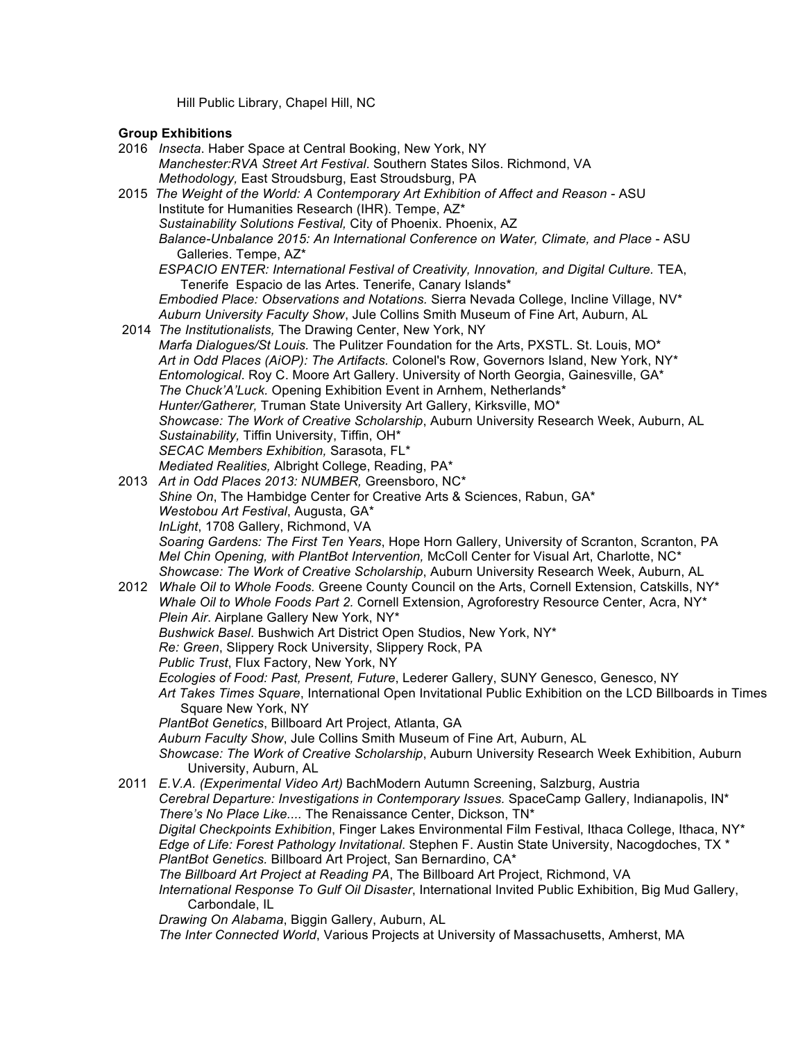Hill Public Library, Chapel Hill, NC

# **Group Exhibitions**

- 2016 *Insecta*. Haber Space at Central Booking, New York, NY *Manchester:RVA Street Art Festival*. Southern States Silos. Richmond, VA *Methodology,* East Stroudsburg, East Stroudsburg, PA 2015 *The Weight of the World: A Contemporary Art Exhibition of Affect and Reason* - ASU Institute for Humanities Research (IHR). Tempe, AZ\* *Sustainability Solutions Festival,* City of Phoenix. Phoenix, AZ *Balance-Unbalance 2015: An International Conference on Water, Climate, and Place* - ASU Galleries. Tempe, AZ\* *ESPACIO ENTER: International Festival of Creativity, Innovation, and Digital Culture.* TEA, Tenerife Espacio de las Artes. Tenerife, Canary Islands\*  *Embodied Place: Observations and Notations.* Sierra Nevada College, Incline Village, NV\* *Auburn University Faculty Show*, Jule Collins Smith Museum of Fine Art, Auburn, AL 2014 *The Institutionalists,* The Drawing Center, New York, NY *Marfa Dialogues/St Louis.* The Pulitzer Foundation for the Arts, PXSTL. St. Louis, MO\*  *Art in Odd Places (AiOP): The Artifacts.* Colonel's Row, Governors Island, New York, NY\* *Entomological*. Roy C. Moore Art Gallery. University of North Georgia, Gainesville, GA\* *The Chuck'A'Luck.* Opening Exhibition Event in Arnhem, Netherlands\* *Hunter/Gatherer,* Truman State University Art Gallery, Kirksville, MO\* *Showcase: The Work of Creative Scholarship*, Auburn University Research Week, Auburn, AL *Sustainability,* Tiffin University, Tiffin, OH\*  *SECAC Members Exhibition,* Sarasota, FL\* *Mediated Realities,* Albright College, Reading, PA\* 2013 *Art in Odd Places 2013: NUMBER,* Greensboro, NC\* *Shine On*, The Hambidge Center for Creative Arts & Sciences, Rabun, GA\* *Westobou Art Festival*, Augusta, GA\* *InLight*, 1708 Gallery, Richmond, VA *Soaring Gardens: The First Ten Years*, Hope Horn Gallery, University of Scranton, Scranton, PA *Mel Chin Opening, with PlantBot Intervention,* McColl Center for Visual Art, Charlotte, NC\* *Showcase: The Work of Creative Scholarship*, Auburn University Research Week, Auburn, AL 2012 *Whale Oil to Whole Foods.* Greene County Council on the Arts, Cornell Extension, Catskills, NY\*  *Whale Oil to Whole Foods Part 2.* Cornell Extension, Agroforestry Resource Center, Acra, NY\* *Plein Air*. Airplane Gallery New York, NY\* *Bushwick Basel*. Bushwich Art District Open Studios, New York, NY\* *Re: Green*, Slippery Rock University, Slippery Rock, PA *Public Trust*, Flux Factory, New York, NY *Ecologies of Food: Past, Present, Future*, Lederer Gallery, SUNY Genesco, Genesco, NY  *Art Takes Times Square*, International Open Invitational Public Exhibition on the LCD Billboards in Times Square New York, NY *PlantBot Genetics*, Billboard Art Project, Atlanta, GA *Auburn Faculty Show*, Jule Collins Smith Museum of Fine Art, Auburn, AL *Showcase: The Work of Creative Scholarship*, Auburn University Research Week Exhibition, Auburn University, Auburn, AL 2011 *E.V.A. (Experimental Video Art)* BachModern Autumn Screening, Salzburg, Austria *Cerebral Departure: Investigations in Contemporary Issues.* SpaceCamp Gallery, Indianapolis, IN\*  *There's No Place Like....* The Renaissance Center, Dickson, TN\* *Digital Checkpoints Exhibition*, Finger Lakes Environmental Film Festival, Ithaca College, Ithaca, NY\* *Edge of Life: Forest Pathology Invitational*. Stephen F. Austin State University, Nacogdoches, TX \* *PlantBot Genetics.* Billboard Art Project, San Bernardino, CA\* *The Billboard Art Project at Reading PA*, The Billboard Art Project, Richmond, VA *International Response To Gulf Oil Disaster*, International Invited Public Exhibition, Big Mud Gallery, Carbondale, IL *Drawing On Alabama*, Biggin Gallery, Auburn, AL
	- *The Inter Connected World*, Various Projects at University of Massachusetts, Amherst, MA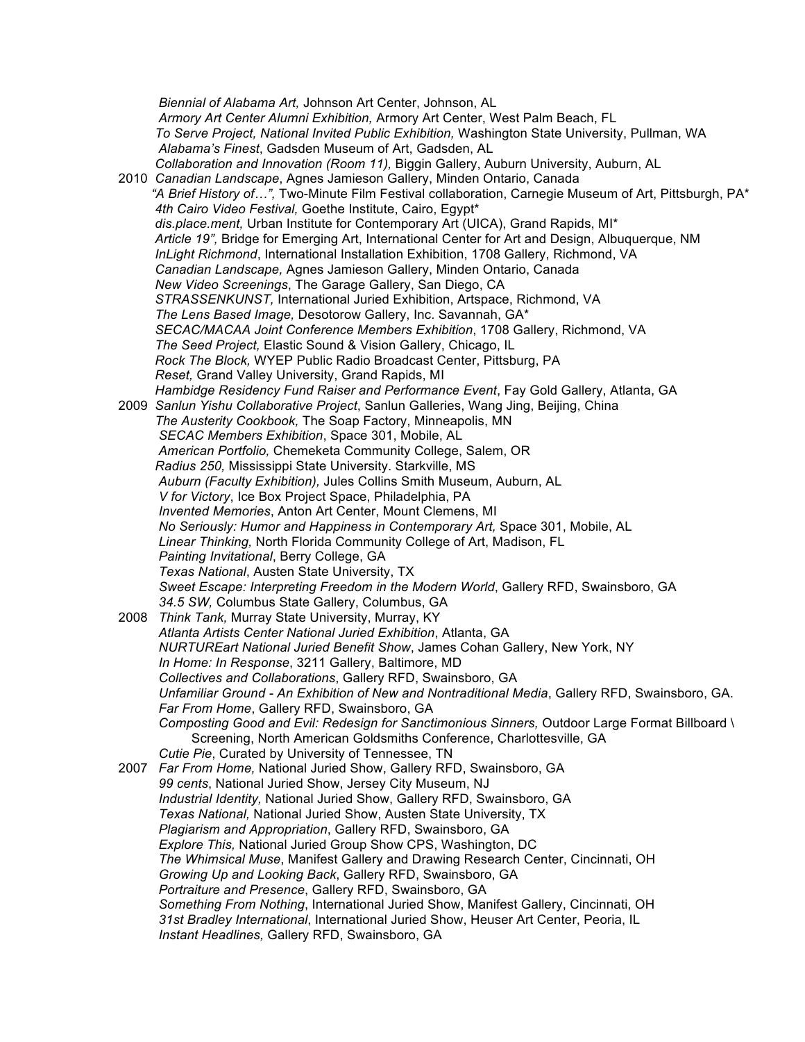*Biennial of Alabama Art,* Johnson Art Center, Johnson, AL *Armory Art Center Alumni Exhibition,* Armory Art Center, West Palm Beach, FL *To Serve Project, National Invited Public Exhibition,* Washington State University, Pullman, WA  *Alabama's Finest*, Gadsden Museum of Art, Gadsden, AL *Collaboration and Innovation (Room 11),* Biggin Gallery, Auburn University, Auburn, AL 2010 *Canadian Landscape*, Agnes Jamieson Gallery, Minden Ontario, Canada *"A Brief History of…",* Two-Minute Film Festival collaboration, Carnegie Museum of Art, Pittsburgh, PA\* *4th Cairo Video Festival,* Goethe Institute, Cairo, Egypt\* *dis.place.ment,* Urban Institute for Contemporary Art (UICA), Grand Rapids, MI\*  *Article 19",* Bridge for Emerging Art, International Center for Art and Design, Albuquerque, NM *InLight Richmond*, International Installation Exhibition, 1708 Gallery, Richmond, VA *Canadian Landscape,* Agnes Jamieson Gallery, Minden Ontario, Canada *New Video Screenings*, The Garage Gallery, San Diego, CA *STRASSENKUNST,* International Juried Exhibition, Artspace, Richmond, VA *The Lens Based Image,* Desotorow Gallery, Inc. Savannah, GA\* *SECAC/MACAA Joint Conference Members Exhibition*, 1708 Gallery, Richmond, VA *The Seed Project,* Elastic Sound & Vision Gallery, Chicago, IL *Rock The Block,* WYEP Public Radio Broadcast Center, Pittsburg, PA *Reset,* Grand Valley University, Grand Rapids, MI *Hambidge Residency Fund Raiser and Performance Event*, Fay Gold Gallery, Atlanta, GA 2009 *Sanlun Yishu Collaborative Project*, Sanlun Galleries, Wang Jing, Beijing, China *The Austerity Cookbook,* The Soap Factory, Minneapolis, MN *SECAC Members Exhibition*, Space 301, Mobile, AL *American Portfolio,* Chemeketa Community College, Salem, OR  *Radius 250,* Mississippi State University. Starkville, MS *Auburn (Faculty Exhibition),* Jules Collins Smith Museum, Auburn, AL *V for Victory*, Ice Box Project Space, Philadelphia, PA *Invented Memories*, Anton Art Center, Mount Clemens, MI *No Seriously: Humor and Happiness in Contemporary Art,* Space 301, Mobile, AL *Linear Thinking,* North Florida Community College of Art, Madison, FL *Painting Invitational*, Berry College, GA *Texas National*, Austen State University, TX *Sweet Escape: Interpreting Freedom in the Modern World*, Gallery RFD, Swainsboro, GA *34.5 SW,* Columbus State Gallery, Columbus, GA 2008 *Think Tank,* Murray State University, Murray, KY *Atlanta Artists Center National Juried Exhibition*, Atlanta, GA *NURTUREart National Juried Benefit Show*, James Cohan Gallery, New York, NY *In Home: In Response*, 3211 Gallery, Baltimore, MD *Collectives and Collaborations*, Gallery RFD, Swainsboro, GA *Unfamiliar Ground - An Exhibition of New and Nontraditional Media*, Gallery RFD, Swainsboro, GA. *Far From Home*, Gallery RFD, Swainsboro, GA *Composting Good and Evil: Redesign for Sanctimonious Sinners,* Outdoor Large Format Billboard \ Screening, North American Goldsmiths Conference, Charlottesville, GA *Cutie Pie*, Curated by University of Tennessee, TN 2007 *Far From Home,* National Juried Show, Gallery RFD, Swainsboro, GA *99 cents*, National Juried Show, Jersey City Museum, NJ *Industrial Identity,* National Juried Show, Gallery RFD, Swainsboro, GA *Texas National,* National Juried Show, Austen State University, TX *Plagiarism and Appropriation*, Gallery RFD, Swainsboro, GA *Explore This,* National Juried Group Show CPS, Washington, DC *The Whimsical Muse*, Manifest Gallery and Drawing Research Center, Cincinnati, OH *Growing Up and Looking Back*, Gallery RFD, Swainsboro, GA *Portraiture and Presence*, Gallery RFD, Swainsboro, GA *Something From Nothing*, International Juried Show, Manifest Gallery, Cincinnati, OH *31st Bradley International*, International Juried Show, Heuser Art Center, Peoria, IL *Instant Headlines,* Gallery RFD, Swainsboro, GA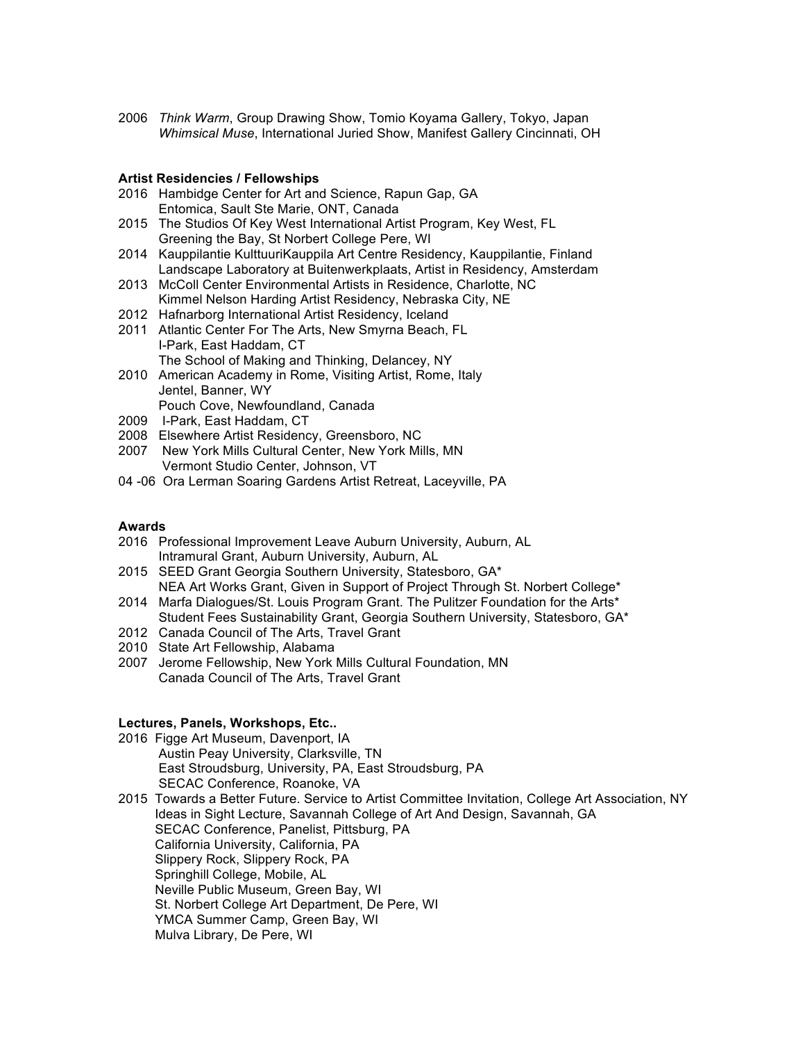2006 *Think Warm*, Group Drawing Show, Tomio Koyama Gallery, Tokyo, Japan *Whimsical Muse*, International Juried Show, Manifest Gallery Cincinnati, OH

### **Artist Residencies / Fellowships**

- 2016 Hambidge Center for Art and Science, Rapun Gap, GA Entomica, Sault Ste Marie, ONT, Canada
- 2015 The Studios Of Key West International Artist Program, Key West, FL Greening the Bay, St Norbert College Pere, WI
- 2014 Kauppilantie KulttuuriKauppila Art Centre Residency, Kauppilantie, Finland Landscape Laboratory at Buitenwerkplaats, Artist in Residency, Amsterdam
- 2013 McColl Center Environmental Artists in Residence, Charlotte, NC Kimmel Nelson Harding Artist Residency, Nebraska City, NE
- 2012 Hafnarborg International Artist Residency, Iceland
- 2011 Atlantic Center For The Arts, New Smyrna Beach, FL I-Park, East Haddam, CT The School of Making and Thinking, Delancey, NY
- 2010 American Academy in Rome, Visiting Artist, Rome, Italy Jentel, Banner, WY Pouch Cove, Newfoundland, Canada
- 
- 2009 I-Park, East Haddam, CT
- 2008 Elsewhere Artist Residency, Greensboro, NC
- 2007 New York Mills Cultural Center, New York Mills, MN Vermont Studio Center, Johnson, VT
- 04 -06 Ora Lerman Soaring Gardens Artist Retreat, Laceyville, PA

#### **Awards**

- 2016 Professional Improvement Leave Auburn University, Auburn, AL Intramural Grant, Auburn University, Auburn, AL
- 2015 SEED Grant Georgia Southern University, Statesboro, GA\* NEA Art Works Grant, Given in Support of Project Through St. Norbert College\*
- 2014 Marfa Dialogues/St. Louis Program Grant. The Pulitzer Foundation for the Arts\* Student Fees Sustainability Grant, Georgia Southern University, Statesboro, GA\*
- 2012 Canada Council of The Arts, Travel Grant
- 2010 State Art Fellowship, Alabama
- 2007 Jerome Fellowship, New York Mills Cultural Foundation, MN Canada Council of The Arts, Travel Grant

## **Lectures, Panels, Workshops, Etc..**

- 2016 Figge Art Museum, Davenport, IA Austin Peay University, Clarksville, TN East Stroudsburg, University, PA, East Stroudsburg, PA SECAC Conference, Roanoke, VA
- 2015 Towards a Better Future. Service to Artist Committee Invitation, College Art Association, NY Ideas in Sight Lecture, Savannah College of Art And Design, Savannah, GA SECAC Conference, Panelist, Pittsburg, PA California University, California, PA Slippery Rock, Slippery Rock, PA Springhill College, Mobile, AL Neville Public Museum, Green Bay, WI St. Norbert College Art Department, De Pere, WI YMCA Summer Camp, Green Bay, WI Mulva Library, De Pere, WI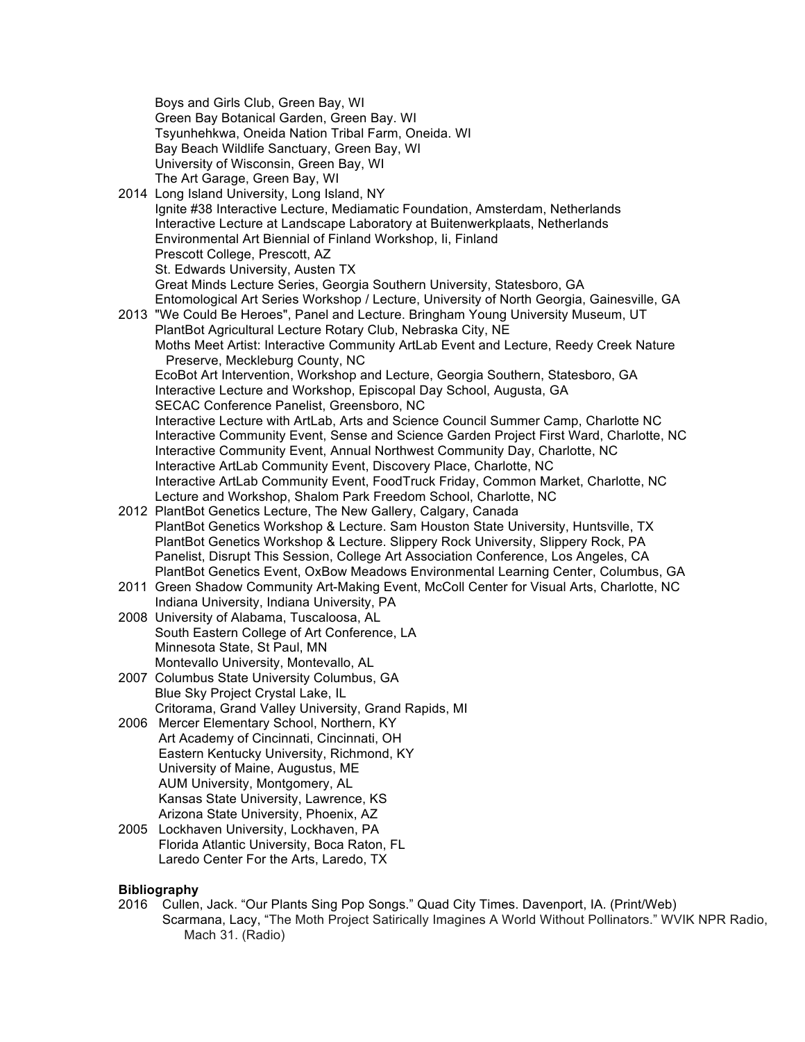Boys and Girls Club, Green Bay, WI Green Bay Botanical Garden, Green Bay. WI Tsyunhehkwa, Oneida Nation Tribal Farm, Oneida. WI Bay Beach Wildlife Sanctuary, Green Bay, WI University of Wisconsin, Green Bay, WI The Art Garage, Green Bay, WI 2014 Long Island University, Long Island, NY Ignite #38 Interactive Lecture, Mediamatic Foundation, Amsterdam, Netherlands Interactive Lecture at Landscape Laboratory at Buitenwerkplaats, Netherlands Environmental Art Biennial of Finland Workshop, Ii, Finland Prescott College, Prescott, AZ St. Edwards University, Austen TX Great Minds Lecture Series, Georgia Southern University, Statesboro, GA Entomological Art Series Workshop / Lecture, University of North Georgia, Gainesville, GA 2013 "We Could Be Heroes", Panel and Lecture. Bringham Young University Museum, UT PlantBot Agricultural Lecture Rotary Club, Nebraska City, NE Moths Meet Artist: Interactive Community ArtLab Event and Lecture, Reedy Creek Nature Preserve, Meckleburg County, NC EcoBot Art Intervention, Workshop and Lecture, Georgia Southern, Statesboro, GA Interactive Lecture and Workshop, Episcopal Day School, Augusta, GA SECAC Conference Panelist, Greensboro, NC Interactive Lecture with ArtLab, Arts and Science Council Summer Camp, Charlotte NC Interactive Community Event, Sense and Science Garden Project First Ward, Charlotte, NC Interactive Community Event, Annual Northwest Community Day, Charlotte, NC Interactive ArtLab Community Event, Discovery Place, Charlotte, NC Interactive ArtLab Community Event, FoodTruck Friday, Common Market, Charlotte, NC Lecture and Workshop, Shalom Park Freedom School, Charlotte, NC 2012 PlantBot Genetics Lecture, The New Gallery, Calgary, Canada PlantBot Genetics Workshop & Lecture. Sam Houston State University, Huntsville, TX PlantBot Genetics Workshop & Lecture. Slippery Rock University, Slippery Rock, PA Panelist, Disrupt This Session, College Art Association Conference, Los Angeles, CA PlantBot Genetics Event, OxBow Meadows Environmental Learning Center, Columbus, GA 2011 Green Shadow Community Art-Making Event, McColl Center for Visual Arts, Charlotte, NC Indiana University, Indiana University, PA 2008 University of Alabama, Tuscaloosa, AL South Eastern College of Art Conference, LA Minnesota State, St Paul, MN Montevallo University, Montevallo, AL 2007 Columbus State University Columbus, GA Blue Sky Project Crystal Lake, IL Critorama, Grand Valley University, Grand Rapids, MI 2006 Mercer Elementary School, Northern, KY Art Academy of Cincinnati, Cincinnati, OH Eastern Kentucky University, Richmond, KY University of Maine, Augustus, ME AUM University, Montgomery, AL Kansas State University, Lawrence, KS Arizona State University, Phoenix, AZ 2005 Lockhaven University, Lockhaven, PA Florida Atlantic University, Boca Raton, FL Laredo Center For the Arts, Laredo, TX

## **Bibliography**

2016 Cullen, Jack. "Our Plants Sing Pop Songs." Quad City Times. Davenport, IA. (Print/Web) Scarmana, Lacy, "The Moth Project Satirically Imagines A World Without Pollinators." WVIK NPR Radio, Mach 31. (Radio)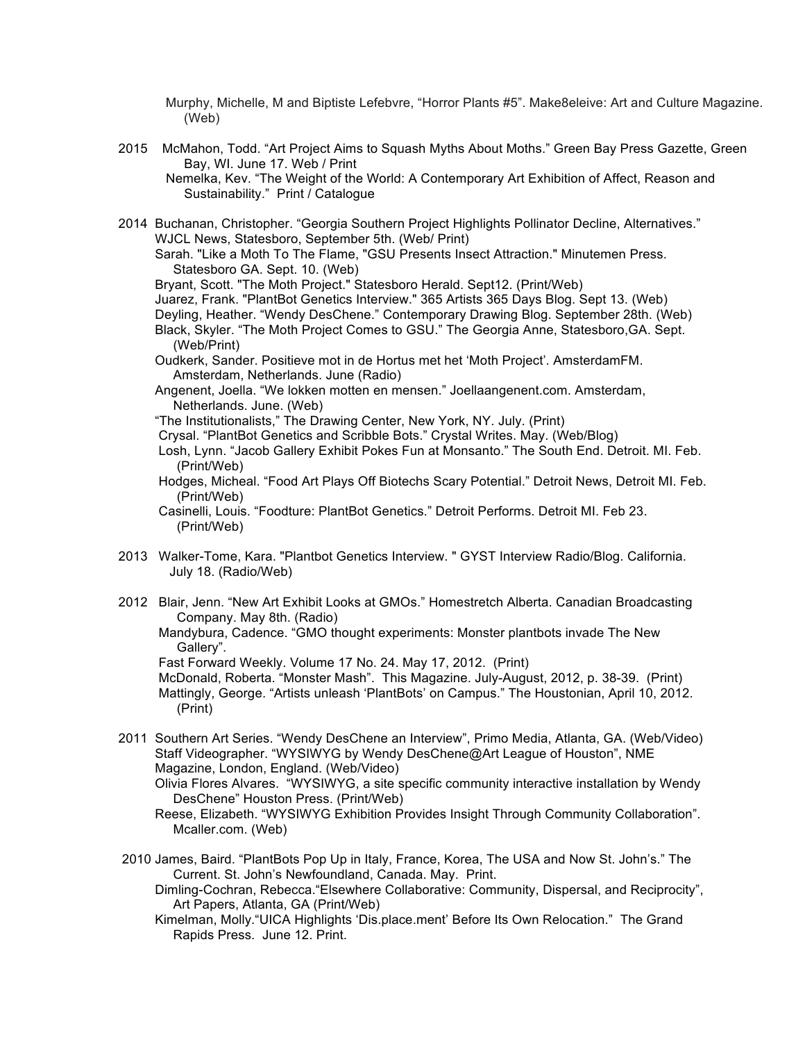Murphy, Michelle, M and Biptiste Lefebvre, "Horror Plants #5". Make8eleive: Art and Culture Magazine. (Web)

2015 McMahon, Todd. "Art Project Aims to Squash Myths About Moths." Green Bay Press Gazette, Green Bay, WI. June 17. Web / Print

Nemelka, Kev. "The Weight of the World: A Contemporary Art Exhibition of Affect, Reason and Sustainability." Print / Catalogue

2014 Buchanan, Christopher. "Georgia Southern Project Highlights Pollinator Decline, Alternatives." WJCL News, Statesboro, September 5th. (Web/ Print) Sarah. "Like a Moth To The Flame, "GSU Presents Insect Attraction." Minutemen Press.

Statesboro GA. Sept. 10. (Web)

Bryant, Scott. "The Moth Project." Statesboro Herald. Sept12. (Print/Web)

Juarez, Frank. "PlantBot Genetics Interview." 365 Artists 365 Days Blog. Sept 13. (Web)

Deyling, Heather. "Wendy DesChene." Contemporary Drawing Blog. September 28th. (Web)

- Black, Skyler. "The Moth Project Comes to GSU." The Georgia Anne, Statesboro,GA. Sept. (Web/Print)
- Oudkerk, Sander. Positieve mot in de Hortus met het 'Moth Project'. AmsterdamFM. Amsterdam, Netherlands. June (Radio)

 Angenent, Joella. "We lokken motten en mensen." Joellaangenent.com. Amsterdam, Netherlands. June. (Web)

"The Institutionalists," The Drawing Center, New York, NY. July. (Print)

- Crysal. "PlantBot Genetics and Scribble Bots." Crystal Writes. May. (Web/Blog)
- Losh, Lynn. "Jacob Gallery Exhibit Pokes Fun at Monsanto." The South End. Detroit. MI. Feb. (Print/Web)
- Hodges, Micheal. "Food Art Plays Off Biotechs Scary Potential." Detroit News, Detroit MI. Feb. (Print/Web)

 Casinelli, Louis. "Foodture: PlantBot Genetics." Detroit Performs. Detroit MI. Feb 23. (Print/Web)

- 2013 Walker-Tome, Kara. "Plantbot Genetics Interview. " GYST Interview Radio/Blog. California. July 18. (Radio/Web)
- 2012 Blair, Jenn. "New Art Exhibit Looks at GMOs." Homestretch Alberta. Canadian Broadcasting Company. May 8th. (Radio)

Mandybura, Cadence. "GMO thought experiments: Monster plantbots invade The New Gallery".

Fast Forward Weekly. Volume 17 No. 24. May 17, 2012. (Print)

McDonald, Roberta. "Monster Mash". This Magazine. July-August, 2012, p. 38-39. (Print) Mattingly, George. "Artists unleash 'PlantBots' on Campus." The Houstonian, April 10, 2012. (Print)

2011 Southern Art Series. "Wendy DesChene an Interview", Primo Media, Atlanta, GA. (Web/Video) Staff Videographer. "WYSIWYG by Wendy DesChene@Art League of Houston", NME Magazine, London, England. (Web/Video)

Olivia Flores Alvares. "WYSIWYG, a site specific community interactive installation by Wendy DesChene" Houston Press. (Print/Web)

- Reese, Elizabeth. "WYSIWYG Exhibition Provides Insight Through Community Collaboration". Mcaller.com. (Web)
- 2010 James, Baird. "PlantBots Pop Up in Italy, France, Korea, The USA and Now St. John's." The Current. St. John's Newfoundland, Canada. May. Print.
	- Dimling-Cochran, Rebecca."Elsewhere Collaborative: Community, Dispersal, and Reciprocity", Art Papers, Atlanta, GA (Print/Web)
	- Kimelman, Molly."UICA Highlights 'Dis.place.ment' Before Its Own Relocation." The Grand Rapids Press. June 12. Print.